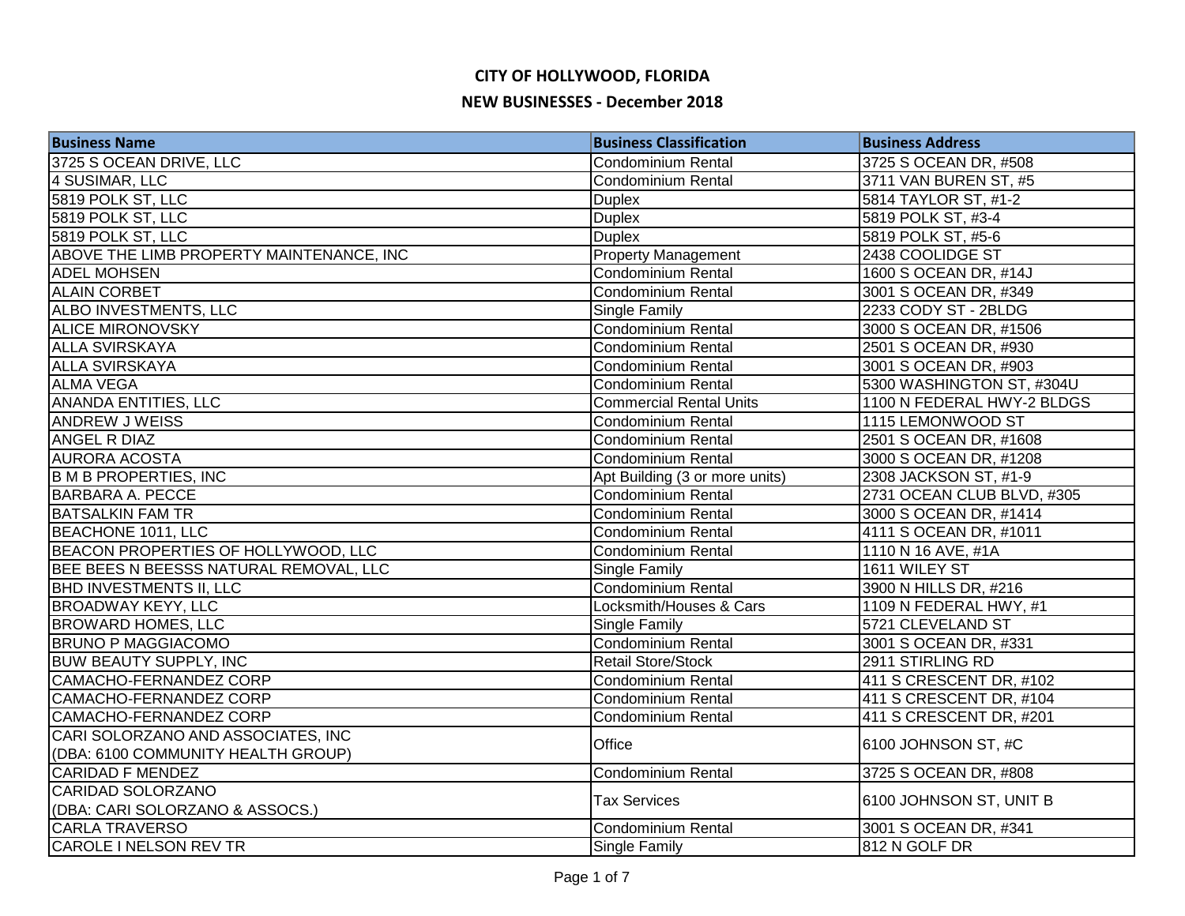| <b>Business Name</b>                     | <b>Business Classification</b> | <b>Business Address</b>    |
|------------------------------------------|--------------------------------|----------------------------|
| 3725 S OCEAN DRIVE, LLC                  | <b>Condominium Rental</b>      | 3725 S OCEAN DR, #508      |
| 4 SUSIMAR, LLC                           | <b>Condominium Rental</b>      | 3711 VAN BUREN ST, #5      |
| 5819 POLK ST, LLC                        | <b>Duplex</b>                  | 5814 TAYLOR ST, #1-2       |
| 5819 POLK ST, LLC                        | <b>Duplex</b>                  | 5819 POLK ST, #3-4         |
| 5819 POLK ST, LLC                        | <b>Duplex</b>                  | 5819 POLK ST, #5-6         |
| ABOVE THE LIMB PROPERTY MAINTENANCE, INC | <b>Property Management</b>     | 2438 COOLIDGE ST           |
| <b>ADEL MOHSEN</b>                       | Condominium Rental             | 1600 S OCEAN DR, #14J      |
| <b>ALAIN CORBET</b>                      | Condominium Rental             | 3001 S OCEAN DR, #349      |
| ALBO INVESTMENTS, LLC                    | Single Family                  | 2233 CODY ST - 2BLDG       |
| <b>ALICE MIRONOVSKY</b>                  | Condominium Rental             | 3000 S OCEAN DR, #1506     |
| <b>ALLA SVIRSKAYA</b>                    | <b>Condominium Rental</b>      | 2501 S OCEAN DR, #930      |
| <b>ALLA SVIRSKAYA</b>                    | <b>Condominium Rental</b>      | 3001 S OCEAN DR, #903      |
| <b>ALMA VEGA</b>                         | <b>Condominium Rental</b>      | 5300 WASHINGTON ST, #304U  |
| ANANDA ENTITIES, LLC                     | <b>Commercial Rental Units</b> | 1100 N FEDERAL HWY-2 BLDGS |
| ANDREW J WEISS                           | <b>Condominium Rental</b>      | 1115 LEMONWOOD ST          |
| ANGEL R DIAZ                             | Condominium Rental             | 2501 S OCEAN DR, #1608     |
| <b>AURORA ACOSTA</b>                     | Condominium Rental             | 3000 S OCEAN DR, #1208     |
| <b>B M B PROPERTIES, INC</b>             | Apt Building (3 or more units) | 2308 JACKSON ST, #1-9      |
| <b>BARBARA A. PECCE</b>                  | Condominium Rental             | 2731 OCEAN CLUB BLVD, #305 |
| <b>BATSALKIN FAM TR</b>                  | Condominium Rental             | 3000 S OCEAN DR, #1414     |
| BEACHONE 1011, LLC                       | Condominium Rental             | 4111 S OCEAN DR, #1011     |
| BEACON PROPERTIES OF HOLLYWOOD, LLC      | Condominium Rental             | 1110 N 16 AVE, #1A         |
| BEE BEES N BEESSS NATURAL REMOVAL, LLC   | Single Family                  | 1611 WILEY ST              |
| <b>BHD INVESTMENTS II, LLC</b>           | <b>Condominium Rental</b>      | 3900 N HILLS DR, #216      |
| <b>BROADWAY KEYY, LLC</b>                | Locksmith/Houses & Cars        | 1109 N FEDERAL HWY, #1     |
| <b>BROWARD HOMES, LLC</b>                | Single Family                  | 5721 CLEVELAND ST          |
| <b>BRUNO P MAGGIACOMO</b>                | Condominium Rental             | 3001 S OCEAN DR, #331      |
| <b>BUW BEAUTY SUPPLY, INC</b>            | <b>Retail Store/Stock</b>      | 2911 STIRLING RD           |
| <b>CAMACHO-FERNANDEZ CORP</b>            | <b>Condominium Rental</b>      | 411 S CRESCENT DR, #102    |
| <b>CAMACHO-FERNANDEZ CORP</b>            | <b>Condominium Rental</b>      | 411 S CRESCENT DR, #104    |
| CAMACHO-FERNANDEZ CORP                   | <b>Condominium Rental</b>      | 411 S CRESCENT DR, #201    |
| CARI SOLORZANO AND ASSOCIATES, INC       | Office                         |                            |
| (DBA: 6100 COMMUNITY HEALTH GROUP)       |                                | 6100 JOHNSON ST, #C        |
| <b>CARIDAD F MENDEZ</b>                  | <b>Condominium Rental</b>      | 3725 S OCEAN DR, #808      |
| CARIDAD SOLORZANO                        | <b>Tax Services</b>            | 6100 JOHNSON ST, UNIT B    |
| (DBA: CARI SOLORZANO & ASSOCS.)          |                                |                            |
| <b>CARLA TRAVERSO</b>                    | Condominium Rental             | 3001 S OCEAN DR, #341      |
| CAROLE I NELSON REV TR                   | <b>Single Family</b>           | 812 N GOLF DR              |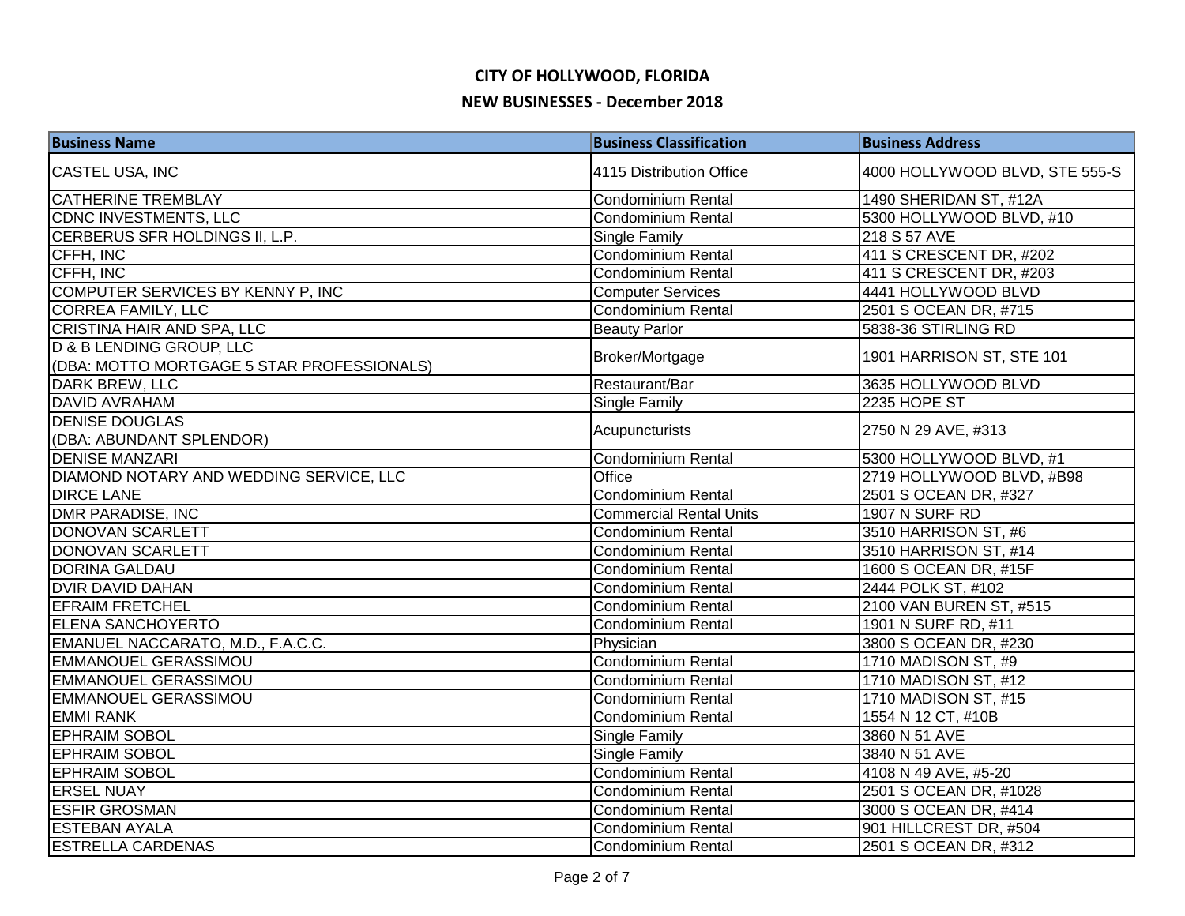| <b>Business Name</b>                                                   | <b>Business Classification</b> | <b>Business Address</b>        |
|------------------------------------------------------------------------|--------------------------------|--------------------------------|
| CASTEL USA, INC                                                        | 4115 Distribution Office       | 4000 HOLLYWOOD BLVD, STE 555-S |
| <b>CATHERINE TREMBLAY</b>                                              | <b>Condominium Rental</b>      | 1490 SHERIDAN ST, #12A         |
| CDNC INVESTMENTS, LLC                                                  | <b>Condominium Rental</b>      | 5300 HOLLYWOOD BLVD, #10       |
| CERBERUS SFR HOLDINGS II, L.P.                                         | Single Family                  | 218 S 57 AVE                   |
| CFFH, INC                                                              | Condominium Rental             | 411 S CRESCENT DR, #202        |
| CFFH, INC                                                              | Condominium Rental             | 411 S CRESCENT DR, #203        |
| COMPUTER SERVICES BY KENNY P, INC                                      | <b>Computer Services</b>       | 4441 HOLLYWOOD BLVD            |
| <b>CORREA FAMILY, LLC</b>                                              | <b>Condominium Rental</b>      | 2501 S OCEAN DR, #715          |
| CRISTINA HAIR AND SPA, LLC                                             | <b>Beauty Parlor</b>           | 5838-36 STIRLING RD            |
| D & B LENDING GROUP, LLC<br>(DBA: MOTTO MORTGAGE 5 STAR PROFESSIONALS) | Broker/Mortgage                | 1901 HARRISON ST, STE 101      |
| DARK BREW, LLC                                                         | Restaurant/Bar                 | 3635 HOLLYWOOD BLVD            |
| <b>DAVID AVRAHAM</b>                                                   | Single Family                  | 2235 HOPE ST                   |
| <b>DENISE DOUGLAS</b>                                                  |                                |                                |
| (DBA: ABUNDANT SPLENDOR)                                               | Acupuncturists                 | 2750 N 29 AVE, #313            |
| <b>DENISE MANZARI</b>                                                  | Condominium Rental             | 5300 HOLLYWOOD BLVD, #1        |
| DIAMOND NOTARY AND WEDDING SERVICE, LLC                                | Office                         | 2719 HOLLYWOOD BLVD, #B98      |
| <b>DIRCE LANE</b>                                                      | Condominium Rental             | 2501 S OCEAN DR, #327          |
| <b>DMR PARADISE, INC</b>                                               | <b>Commercial Rental Units</b> | 1907 N SURF RD                 |
| DONOVAN SCARLETT                                                       | Condominium Rental             | 3510 HARRISON ST, #6           |
| DONOVAN SCARLETT                                                       | Condominium Rental             | 3510 HARRISON ST, #14          |
| <b>DORINA GALDAU</b>                                                   | <b>Condominium Rental</b>      | 1600 S OCEAN DR, #15F          |
| <b>DVIR DAVID DAHAN</b>                                                | <b>Condominium Rental</b>      | 2444 POLK ST, #102             |
| <b>EFRAIM FRETCHEL</b>                                                 | <b>Condominium Rental</b>      | 2100 VAN BUREN ST, #515        |
| <b>ELENA SANCHOYERTO</b>                                               | Condominium Rental             | 1901 N SURF RD, #11            |
| EMANUEL NACCARATO, M.D., F.A.C.C.                                      | Physician                      | 3800 S OCEAN DR, #230          |
| <b>EMMANOUEL GERASSIMOU</b>                                            | <b>Condominium Rental</b>      | 1710 MADISON ST, #9            |
| <b>EMMANOUEL GERASSIMOU</b>                                            | <b>Condominium Rental</b>      | 1710 MADISON ST, #12           |
| <b>EMMANOUEL GERASSIMOU</b>                                            | <b>Condominium Rental</b>      | 1710 MADISON ST, #15           |
| <b>EMMI RANK</b>                                                       | <b>Condominium Rental</b>      | 1554 N 12 CT, #10B             |
| <b>EPHRAIM SOBOL</b>                                                   | Single Family                  | 3860 N 51 AVE                  |
| <b>EPHRAIM SOBOL</b>                                                   | Single Family                  | 3840 N 51 AVE                  |
| <b>EPHRAIM SOBOL</b>                                                   | Condominium Rental             | 4108 N 49 AVE, #5-20           |
| <b>ERSEL NUAY</b>                                                      | <b>Condominium Rental</b>      | 2501 S OCEAN DR, #1028         |
| <b>ESFIR GROSMAN</b>                                                   | Condominium Rental             | 3000 S OCEAN DR, #414          |
| <b>ESTEBAN AYALA</b>                                                   | <b>Condominium Rental</b>      | 901 HILLCREST DR, #504         |
| <b>ESTRELLA CARDENAS</b>                                               | <b>Condominium Rental</b>      | 2501 S OCEAN DR, #312          |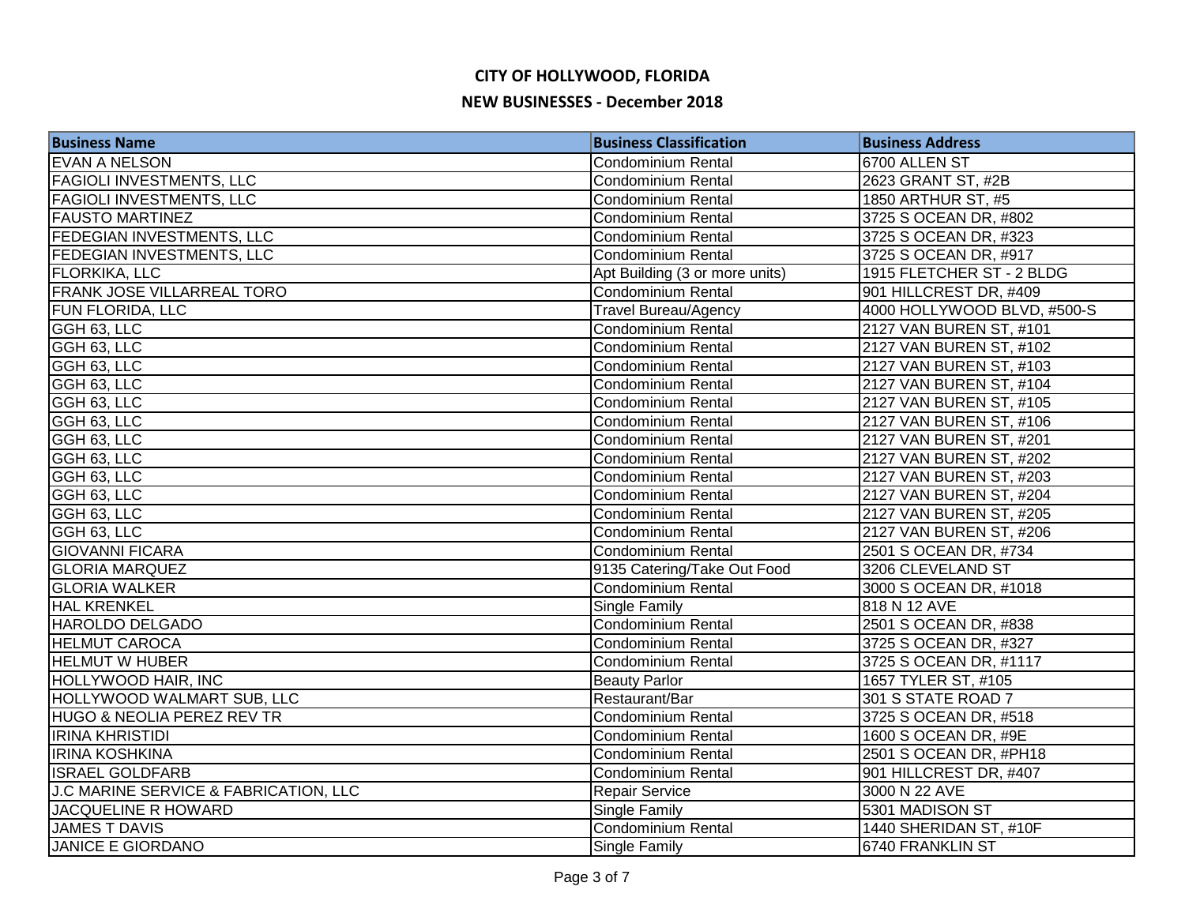| <b>Business Name</b>                  | <b>Business Classification</b> | <b>Business Address</b>     |
|---------------------------------------|--------------------------------|-----------------------------|
| <b>EVAN A NELSON</b>                  | <b>Condominium Rental</b>      | 6700 ALLEN ST               |
| <b>FAGIOLI INVESTMENTS, LLC</b>       | Condominium Rental             | 2623 GRANT ST, #2B          |
| <b>FAGIOLI INVESTMENTS, LLC</b>       | <b>Condominium Rental</b>      | 1850 ARTHUR ST, #5          |
| <b>FAUSTO MARTINEZ</b>                | <b>Condominium Rental</b>      | 3725 S OCEAN DR, #802       |
| FEDEGIAN INVESTMENTS, LLC             | <b>Condominium Rental</b>      | 3725 S OCEAN DR, #323       |
| <b>FEDEGIAN INVESTMENTS, LLC</b>      | Condominium Rental             | 3725 S OCEAN DR, #917       |
| <b>FLORKIKA, LLC</b>                  | Apt Building (3 or more units) | 1915 FLETCHER ST - 2 BLDG   |
| <b>FRANK JOSE VILLARREAL TORO</b>     | Condominium Rental             | 901 HILLCREST DR, #409      |
| <b>FUN FLORIDA, LLC</b>               | <b>Travel Bureau/Agency</b>    | 4000 HOLLYWOOD BLVD, #500-S |
| GGH 63, LLC                           | Condominium Rental             | 2127 VAN BUREN ST, #101     |
| GGH 63, LLC                           | <b>Condominium Rental</b>      | 2127 VAN BUREN ST, #102     |
| GGH 63, LLC                           | Condominium Rental             | 2127 VAN BUREN ST, #103     |
| GGH 63, LLC                           | <b>Condominium Rental</b>      | 2127 VAN BUREN ST, #104     |
| GGH 63, LLC                           | <b>Condominium Rental</b>      | 2127 VAN BUREN ST, #105     |
| GGH 63, LLC                           | <b>Condominium Rental</b>      | 2127 VAN BUREN ST, #106     |
| GGH 63, LLC                           | <b>Condominium Rental</b>      | 2127 VAN BUREN ST, #201     |
| GGH 63, LLC                           | <b>Condominium Rental</b>      | 2127 VAN BUREN ST, #202     |
| GGH 63, LLC                           | <b>Condominium Rental</b>      | 2127 VAN BUREN ST, #203     |
| GGH 63, LLC                           | <b>Condominium Rental</b>      | 2127 VAN BUREN ST, #204     |
| GGH 63, LLC                           | <b>Condominium Rental</b>      | 2127 VAN BUREN ST, #205     |
| GGH 63, LLC                           | Condominium Rental             | 2127 VAN BUREN ST, #206     |
| <b>GIOVANNI FICARA</b>                | Condominium Rental             | 2501 S OCEAN DR, #734       |
| <b>GLORIA MARQUEZ</b>                 | 9135 Catering/Take Out Food    | 3206 CLEVELAND ST           |
| <b>GLORIA WALKER</b>                  | <b>Condominium Rental</b>      | 3000 S OCEAN DR, #1018      |
| <b>HAL KRENKEL</b>                    | Single Family                  | 818 N 12 AVE                |
| HAROLDO DELGADO                       | <b>Condominium Rental</b>      | 2501 S OCEAN DR, #838       |
| <b>HELMUT CAROCA</b>                  | <b>Condominium Rental</b>      | 3725 S OCEAN DR, #327       |
| <b>HELMUT W HUBER</b>                 | <b>Condominium Rental</b>      | 3725 S OCEAN DR, #1117      |
| <b>HOLLYWOOD HAIR, INC</b>            | <b>Beauty Parlor</b>           | 1657 TYLER ST, #105         |
| <b>HOLLYWOOD WALMART SUB, LLC</b>     | Restaurant/Bar                 | 301 S STATE ROAD 7          |
| <b>HUGO &amp; NEOLIA PEREZ REV TR</b> | Condominium Rental             | 3725 S OCEAN DR, #518       |
| <b>IRINA KHRISTIDI</b>                | <b>Condominium Rental</b>      | 1600 S OCEAN DR, #9E        |
| <b>IRINA KOSHKINA</b>                 | <b>Condominium Rental</b>      | 2501 S OCEAN DR, #PH18      |
| <b>ISRAEL GOLDFARB</b>                | <b>Condominium Rental</b>      | 901 HILLCREST DR, #407      |
| J.C MARINE SERVICE & FABRICATION, LLC | <b>Repair Service</b>          | 3000 N 22 AVE               |
| JACQUELINE R HOWARD                   | Single Family                  | 5301 MADISON ST             |
| <b>JAMES T DAVIS</b>                  | <b>Condominium Rental</b>      | 1440 SHERIDAN ST, #10F      |
| <b>JANICE E GIORDANO</b>              | <b>Single Family</b>           | <b>6740 FRANKLIN ST</b>     |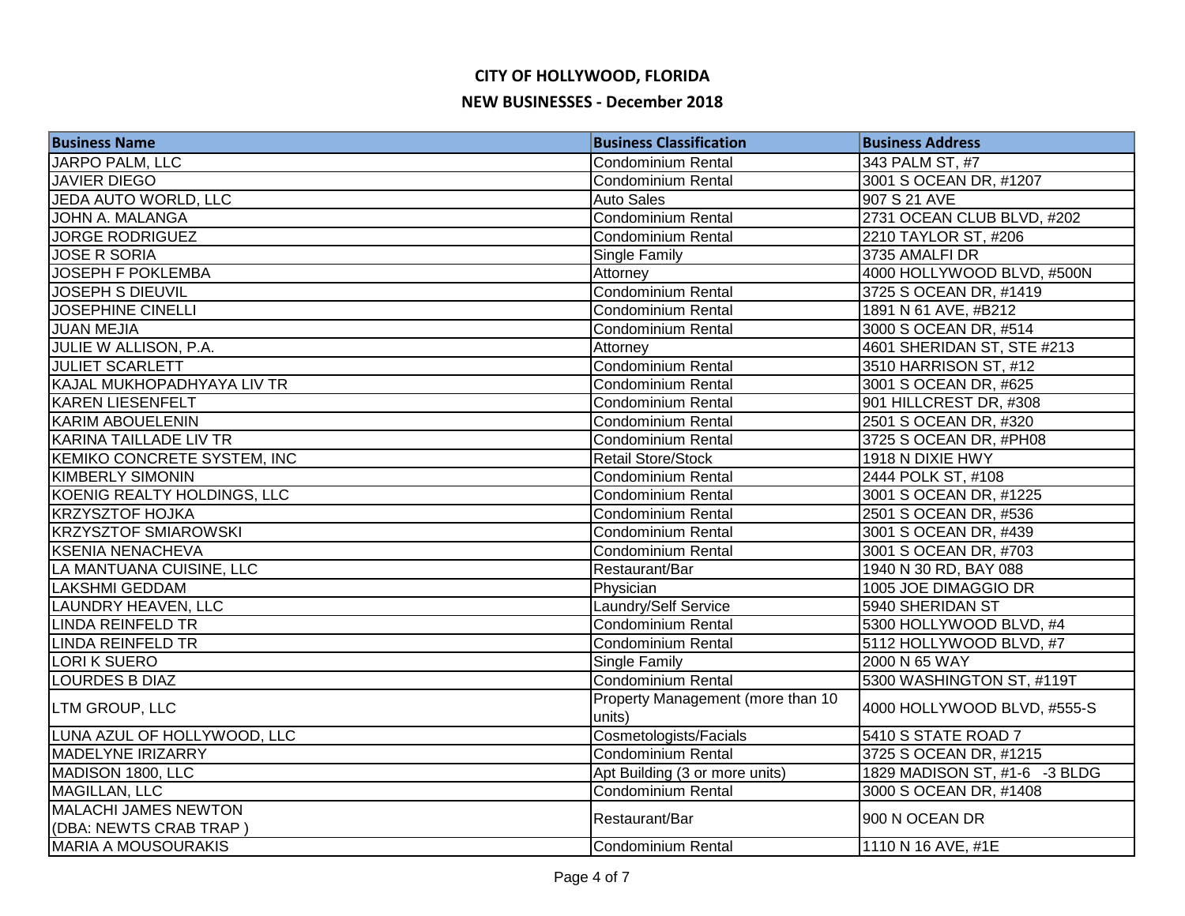| <b>Business Name</b>          | <b>Business Classification</b>              | <b>Business Address</b>       |
|-------------------------------|---------------------------------------------|-------------------------------|
| JARPO PALM, LLC               | Condominium Rental                          | 343 PALM ST, #7               |
| <b>JAVIER DIEGO</b>           | Condominium Rental                          | 3001 S OCEAN DR, #1207        |
| JEDA AUTO WORLD, LLC          | <b>Auto Sales</b>                           | 907 S 21 AVE                  |
| JOHN A. MALANGA               | <b>Condominium Rental</b>                   | 2731 OCEAN CLUB BLVD, #202    |
| <b>JORGE RODRIGUEZ</b>        | <b>Condominium Rental</b>                   | 2210 TAYLOR ST, #206          |
| <b>JOSE R SORIA</b>           | <b>Single Family</b>                        | 3735 AMALFI DR                |
| <b>JOSEPH F POKLEMBA</b>      | Attorney                                    | 4000 HOLLYWOOD BLVD, #500N    |
| <b>JOSEPH S DIEUVIL</b>       | Condominium Rental                          | 3725 S OCEAN DR, #1419        |
| <b>JOSEPHINE CINELLI</b>      | Condominium Rental                          | 1891 N 61 AVE, #B212          |
| JUAN MEJIA                    | <b>Condominium Rental</b>                   | 3000 S OCEAN DR, #514         |
| JULIE W ALLISON, P.A.         | Attorney                                    | 4601 SHERIDAN ST, STE #213    |
| <b>JULIET SCARLETT</b>        | Condominium Rental                          | 3510 HARRISON ST, #12         |
| KAJAL MUKHOPADHYAYA LIV TR    | Condominium Rental                          | 3001 S OCEAN DR, #625         |
| <b>KAREN LIESENFELT</b>       | <b>Condominium Rental</b>                   | 901 HILLCREST DR, #308        |
| KARIM ABOUELENIN              | <b>Condominium Rental</b>                   | 2501 S OCEAN DR, #320         |
| <b>KARINA TAILLADE LIV TR</b> | Condominium Rental                          | 3725 S OCEAN DR, #PH08        |
| KEMIKO CONCRETE SYSTEM, INC   | <b>Retail Store/Stock</b>                   | 1918 N DIXIE HWY              |
| <b>KIMBERLY SIMONIN</b>       | Condominium Rental                          | 2444 POLK ST, #108            |
| KOENIG REALTY HOLDINGS, LLC   | <b>Condominium Rental</b>                   | 3001 S OCEAN DR, #1225        |
| <b>KRZYSZTOF HOJKA</b>        | Condominium Rental                          | 2501 S OCEAN DR, #536         |
| <b>KRZYSZTOF SMIAROWSKI</b>   | Condominium Rental                          | 3001 S OCEAN DR, #439         |
| <b>KSENIA NENACHEVA</b>       | <b>Condominium Rental</b>                   | 3001 S OCEAN DR, #703         |
| LA MANTUANA CUISINE, LLC      | Restaurant/Bar                              | 1940 N 30 RD, BAY 088         |
| <b>LAKSHMI GEDDAM</b>         | Physician                                   | 1005 JOE DIMAGGIO DR          |
| LAUNDRY HEAVEN, LLC           | Laundry/Self Service                        | 5940 SHERIDAN ST              |
| <b>LINDA REINFELD TR</b>      | <b>Condominium Rental</b>                   | 5300 HOLLYWOOD BLVD, #4       |
| <b>LINDA REINFELD TR</b>      | <b>Condominium Rental</b>                   | 5112 HOLLYWOOD BLVD, #7       |
| <b>LORIK SUERO</b>            | <b>Single Family</b>                        | 2000 N 65 WAY                 |
| <b>LOURDES B DIAZ</b>         | Condominium Rental                          | 5300 WASHINGTON ST, #119T     |
| LTM GROUP, LLC                | Property Management (more than 10<br>units) | 4000 HOLLYWOOD BLVD, #555-S   |
| LUNA AZUL OF HOLLYWOOD, LLC   | Cosmetologists/Facials                      | 5410 S STATE ROAD 7           |
| <b>MADELYNE IRIZARRY</b>      | <b>Condominium Rental</b>                   | 3725 S OCEAN DR, #1215        |
| MADISON 1800, LLC             | Apt Building (3 or more units)              | 1829 MADISON ST, #1-6 -3 BLDG |
| MAGILLAN, LLC                 | <b>Condominium Rental</b>                   | 3000 S OCEAN DR, #1408        |
| <b>MALACHI JAMES NEWTON</b>   |                                             |                               |
| (DBA: NEWTS CRAB TRAP)        | Restaurant/Bar                              | 900 N OCEAN DR                |
| <b>MARIA A MOUSOURAKIS</b>    | Condominium Rental                          | 1110 N 16 AVE, #1E            |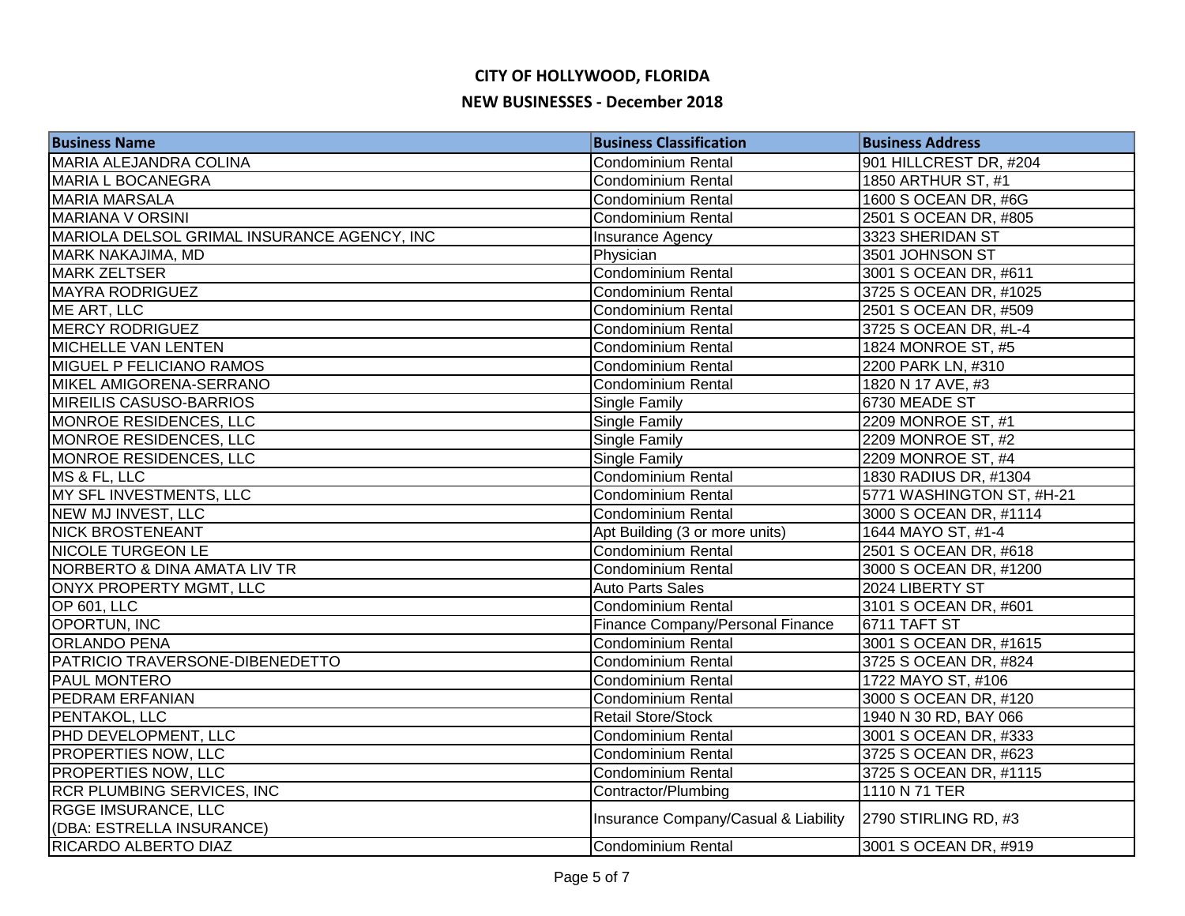| <b>Business Name</b>                        | <b>Business Classification</b>       | <b>Business Address</b>   |
|---------------------------------------------|--------------------------------------|---------------------------|
| MARIA ALEJANDRA COLINA                      | <b>Condominium Rental</b>            | 901 HILLCREST DR, #204    |
| <b>MARIA L BOCANEGRA</b>                    | <b>Condominium Rental</b>            | 1850 ARTHUR ST, #1        |
| <b>MARIA MARSALA</b>                        | <b>Condominium Rental</b>            | 1600 S OCEAN DR, #6G      |
| <b>MARIANA V ORSINI</b>                     | <b>Condominium Rental</b>            | 2501 S OCEAN DR, #805     |
| MARIOLA DELSOL GRIMAL INSURANCE AGENCY, INC | Insurance Agency                     | 3323 SHERIDAN ST          |
| MARK NAKAJIMA, MD                           | Physician                            | 3501 JOHNSON ST           |
| <b>MARK ZELTSER</b>                         | Condominium Rental                   | 3001 S OCEAN DR, #611     |
| <b>MAYRA RODRIGUEZ</b>                      | Condominium Rental                   | 3725 S OCEAN DR, #1025    |
| ME ART, LLC                                 | <b>Condominium Rental</b>            | 2501 S OCEAN DR, #509     |
| <b>MERCY RODRIGUEZ</b>                      | <b>Condominium Rental</b>            | 3725 S OCEAN DR, #L-4     |
| MICHELLE VAN LENTEN                         | Condominium Rental                   | 1824 MONROE ST, #5        |
| <b>MIGUEL P FELICIANO RAMOS</b>             | <b>Condominium Rental</b>            | 2200 PARK LN, #310        |
| MIKEL AMIGORENA-SERRANO                     | <b>Condominium Rental</b>            | 1820 N 17 AVE, #3         |
| <b>MIREILIS CASUSO-BARRIOS</b>              | Single Family                        | 6730 MEADE ST             |
| MONROE RESIDENCES, LLC                      | Single Family                        | 2209 MONROE ST, #1        |
| MONROE RESIDENCES, LLC                      | <b>Single Family</b>                 | 2209 MONROE ST, #2        |
| MONROE RESIDENCES, LLC                      | Single Family                        | 2209 MONROE ST, #4        |
| MS & FL, LLC                                | Condominium Rental                   | 1830 RADIUS DR, #1304     |
| MY SFL INVESTMENTS, LLC                     | Condominium Rental                   | 5771 WASHINGTON ST, #H-21 |
| NEW MJ INVEST, LLC                          | Condominium Rental                   | 3000 S OCEAN DR, #1114    |
| <b>NICK BROSTENEANT</b>                     | Apt Building (3 or more units)       | 1644 MAYO ST, #1-4        |
| <b>NICOLE TURGEON LE</b>                    | Condominium Rental                   | 2501 S OCEAN DR, #618     |
| <b>NORBERTO &amp; DINA AMATA LIV TR</b>     | <b>Condominium Rental</b>            | 3000 S OCEAN DR, #1200    |
| ONYX PROPERTY MGMT, LLC                     | <b>Auto Parts Sales</b>              | 2024 LIBERTY ST           |
| OP 601, LLC                                 | <b>Condominium Rental</b>            | 3101 S OCEAN DR, #601     |
| OPORTUN, INC                                | Finance Company/Personal Finance     | 6711 TAFT ST              |
| <b>ORLANDO PENA</b>                         | <b>Condominium Rental</b>            | 3001 S OCEAN DR, #1615    |
| PATRICIO TRAVERSONE-DIBENEDETTO             | <b>Condominium Rental</b>            | 3725 S OCEAN DR, #824     |
| <b>PAUL MONTERO</b>                         | <b>Condominium Rental</b>            | 1722 MAYO ST, #106        |
| <b>PEDRAM ERFANIAN</b>                      | <b>Condominium Rental</b>            | 3000 S OCEAN DR, #120     |
| PENTAKOL, LLC                               | <b>Retail Store/Stock</b>            | 1940 N 30 RD, BAY 066     |
| PHD DEVELOPMENT, LLC                        | <b>Condominium Rental</b>            | 3001 S OCEAN DR, #333     |
| <b>PROPERTIES NOW, LLC</b>                  | Condominium Rental                   | 3725 S OCEAN DR, #623     |
| <b>PROPERTIES NOW, LLC</b>                  | <b>Condominium Rental</b>            | 3725 S OCEAN DR, #1115    |
| <b>RCR PLUMBING SERVICES, INC</b>           | Contractor/Plumbing                  | 1110 N 71 TER             |
| <b>RGGE IMSURANCE, LLC</b>                  | Insurance Company/Casual & Liability | 2790 STIRLING RD, #3      |
| (DBA: ESTRELLA INSURANCE)                   |                                      |                           |
| RICARDO ALBERTO DIAZ                        | Condominium Rental                   | 3001 S OCEAN DR, #919     |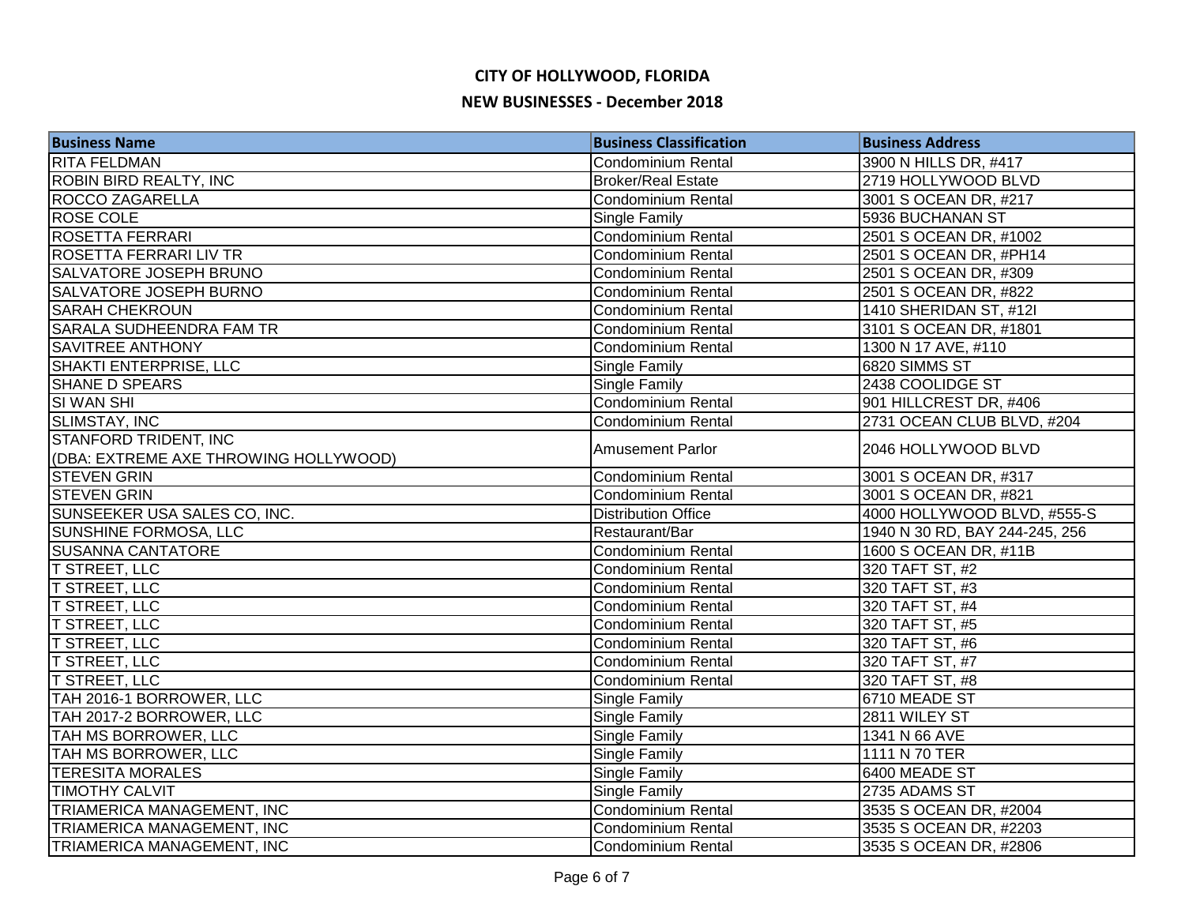| <b>Business Name</b>                  | <b>Business Classification</b> | <b>Business Address</b>        |
|---------------------------------------|--------------------------------|--------------------------------|
| <b>RITA FELDMAN</b>                   | <b>Condominium Rental</b>      | 3900 N HILLS DR, #417          |
| <b>ROBIN BIRD REALTY, INC</b>         | <b>Broker/Real Estate</b>      | 2719 HOLLYWOOD BLVD            |
| <b>ROCCO ZAGARELLA</b>                | <b>Condominium Rental</b>      | 3001 S OCEAN DR, #217          |
| <b>ROSE COLE</b>                      | Single Family                  | 5936 BUCHANAN ST               |
| <b>ROSETTA FERRARI</b>                | Condominium Rental             | 2501 S OCEAN DR, #1002         |
| ROSETTA FERRARI LIV TR                | Condominium Rental             | 2501 S OCEAN DR, #PH14         |
| SALVATORE JOSEPH BRUNO                | Condominium Rental             | 2501 S OCEAN DR, #309          |
| SALVATORE JOSEPH BURNO                | Condominium Rental             | 2501 S OCEAN DR, #822          |
| <b>SARAH CHEKROUN</b>                 | <b>Condominium Rental</b>      | 1410 SHERIDAN ST, #12I         |
| <b>SARALA SUDHEENDRA FAM TR</b>       | <b>Condominium Rental</b>      | 3101 S OCEAN DR, #1801         |
| <b>SAVITREE ANTHONY</b>               | <b>Condominium Rental</b>      | 1300 N 17 AVE, #110            |
| SHAKTI ENTERPRISE, LLC                | Single Family                  | 6820 SIMMS ST                  |
| <b>SHANE D SPEARS</b>                 | Single Family                  | 2438 COOLIDGE ST               |
| SI WAN SHI                            | <b>Condominium Rental</b>      | 901 HILLCREST DR, #406         |
| SLIMSTAY, INC                         | <b>Condominium Rental</b>      | 2731 OCEAN CLUB BLVD, #204     |
| STANFORD TRIDENT, INC                 |                                |                                |
| (DBA: EXTREME AXE THROWING HOLLYWOOD) | <b>Amusement Parlor</b>        | 2046 HOLLYWOOD BLVD            |
| <b>STEVEN GRIN</b>                    | <b>Condominium Rental</b>      | 3001 S OCEAN DR, #317          |
| <b>STEVEN GRIN</b>                    | Condominium Rental             | 3001 S OCEAN DR, #821          |
| SUNSEEKER USA SALES CO, INC.          | <b>Distribution Office</b>     | 4000 HOLLYWOOD BLVD, #555-S    |
| SUNSHINE FORMOSA, LLC                 | Restaurant/Bar                 | 1940 N 30 RD, BAY 244-245, 256 |
| <b>SUSANNA CANTATORE</b>              | <b>Condominium Rental</b>      | 1600 S OCEAN DR, #11B          |
| <b>T STREET, LLC</b>                  | <b>Condominium Rental</b>      | 320 TAFT ST, #2                |
| <b>T STREET, LLC</b>                  | Condominium Rental             | 320 TAFT ST, #3                |
| <b>T STREET, LLC</b>                  | <b>Condominium Rental</b>      | 320 TAFT ST, #4                |
| <b>T STREET, LLC</b>                  | <b>Condominium Rental</b>      | 320 TAFT ST, #5                |
| <b>T STREET, LLC</b>                  | <b>Condominium Rental</b>      | 320 TAFT ST, #6                |
| <b>T STREET, LLC</b>                  | Condominium Rental             | 320 TAFT ST, #7                |
| <b>T STREET, LLC</b>                  | Condominium Rental             | 320 TAFT ST, #8                |
| TAH 2016-1 BORROWER, LLC              | Single Family                  | 6710 MEADE ST                  |
| TAH 2017-2 BORROWER, LLC              | Single Family                  | 2811 WILEY ST                  |
| TAH MS BORROWER, LLC                  | Single Family                  | 1341 N 66 AVE                  |
| TAH MS BORROWER, LLC                  | Single Family                  | 1111 N 70 TER                  |
| <b>TERESITA MORALES</b>               | <b>Single Family</b>           | 6400 MEADE ST                  |
| <b>TIMOTHY CALVIT</b>                 | Single Family                  | 2735 ADAMS ST                  |
| TRIAMERICA MANAGEMENT, INC            | Condominium Rental             | 3535 S OCEAN DR, #2004         |
| TRIAMERICA MANAGEMENT, INC            | <b>Condominium Rental</b>      | 3535 S OCEAN DR, #2203         |
| TRIAMERICA MANAGEMENT, INC            | <b>Condominium Rental</b>      | 3535 S OCEAN DR, #2806         |